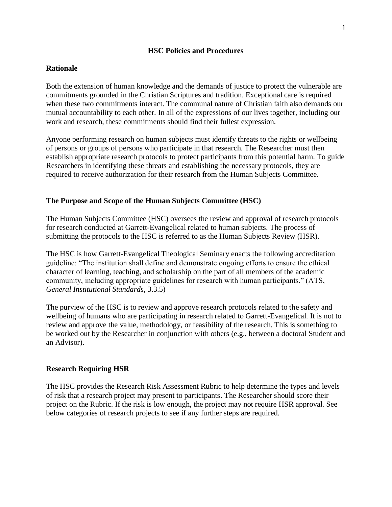### **HSC Policies and Procedures**

## **Rationale**

Both the extension of human knowledge and the demands of justice to protect the vulnerable are commitments grounded in the Christian Scriptures and tradition. Exceptional care is required when these two commitments interact. The communal nature of Christian faith also demands our mutual accountability to each other. In all of the expressions of our lives together, including our work and research, these commitments should find their fullest expression.

Anyone performing research on human subjects must identify threats to the rights or wellbeing of persons or groups of persons who participate in that research. The Researcher must then establish appropriate research protocols to protect participants from this potential harm. To guide Researchers in identifying these threats and establishing the necessary protocols, they are required to receive authorization for their research from the Human Subjects Committee.

### **The Purpose and Scope of the Human Subjects Committee (HSC)**

The Human Subjects Committee (HSC) oversees the review and approval of research protocols for research conducted at Garrett-Evangelical related to human subjects. The process of submitting the protocols to the HSC is referred to as the Human Subjects Review (HSR).

The HSC is how Garrett-Evangelical Theological Seminary enacts the following accreditation guideline: "The institution shall define and demonstrate ongoing efforts to ensure the ethical character of learning, teaching, and scholarship on the part of all members of the academic community, including appropriate guidelines for research with human participants." (ATS, *General Institutional Standards*, 3.3.5)

The purview of the HSC is to review and approve research protocols related to the safety and wellbeing of humans who are participating in research related to Garrett-Evangelical. It is not to review and approve the value, methodology, or feasibility of the research. This is something to be worked out by the Researcher in conjunction with others (e.g., between a doctoral Student and an Advisor).

### **Research Requiring HSR**

The HSC provides the Research Risk Assessment Rubric to help determine the types and levels of risk that a research project may present to participants. The Researcher should score their project on the Rubric. If the risk is low enough, the project may not require HSR approval. See below categories of research projects to see if any further steps are required.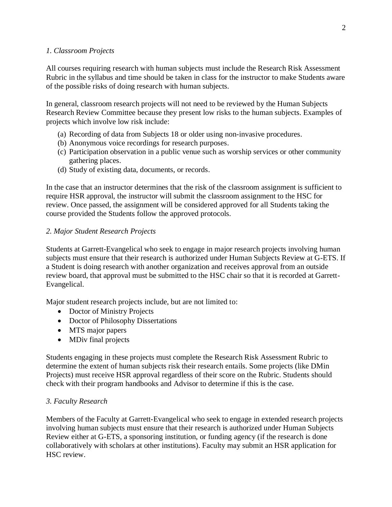## *1. Classroom Projects*

All courses requiring research with human subjects must include the Research Risk Assessment Rubric in the syllabus and time should be taken in class for the instructor to make Students aware of the possible risks of doing research with human subjects.

In general, classroom research projects will not need to be reviewed by the Human Subjects Research Review Committee because they present low risks to the human subjects. Examples of projects which involve low risk include:

- (a) Recording of data from Subjects 18 or older using non-invasive procedures.
- (b) Anonymous voice recordings for research purposes.
- (c) Participation observation in a public venue such as worship services or other community gathering places.
- (d) Study of existing data, documents, or records.

In the case that an instructor determines that the risk of the classroom assignment is sufficient to require HSR approval, the instructor will submit the classroom assignment to the HSC for review. Once passed, the assignment will be considered approved for all Students taking the course provided the Students follow the approved protocols.

## *2. Major Student Research Projects*

Students at Garrett-Evangelical who seek to engage in major research projects involving human subjects must ensure that their research is authorized under Human Subjects Review at G-ETS. If a Student is doing research with another organization and receives approval from an outside review board, that approval must be submitted to the HSC chair so that it is recorded at Garrett-Evangelical.

Major student research projects include, but are not limited to:

- Doctor of Ministry Projects
- Doctor of Philosophy Dissertations
- MTS major papers
- MDiv final projects

Students engaging in these projects must complete the Research Risk Assessment Rubric to determine the extent of human subjects risk their research entails. Some projects (like DMin Projects) must receive HSR approval regardless of their score on the Rubric. Students should check with their program handbooks and Advisor to determine if this is the case.

# *3. Faculty Research*

Members of the Faculty at Garrett-Evangelical who seek to engage in extended research projects involving human subjects must ensure that their research is authorized under Human Subjects Review either at G-ETS, a sponsoring institution, or funding agency (if the research is done collaboratively with scholars at other institutions). Faculty may submit an HSR application for HSC review.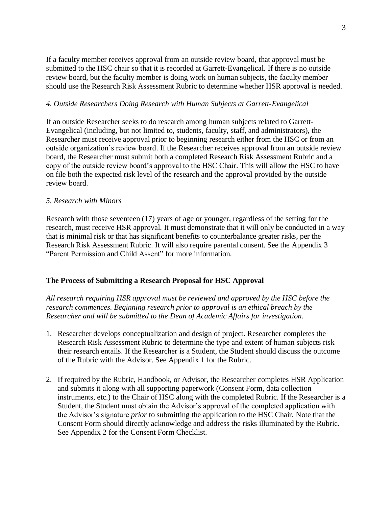If a faculty member receives approval from an outside review board, that approval must be submitted to the HSC chair so that it is recorded at Garrett-Evangelical. If there is no outside review board, but the faculty member is doing work on human subjects, the faculty member should use the Research Risk Assessment Rubric to determine whether HSR approval is needed.

## *4. Outside Researchers Doing Research with Human Subjects at Garrett-Evangelical*

If an outside Researcher seeks to do research among human subjects related to Garrett-Evangelical (including, but not limited to, students, faculty, staff, and administrators), the Researcher must receive approval prior to beginning research either from the HSC or from an outside organization's review board. If the Researcher receives approval from an outside review board, the Researcher must submit both a completed Research Risk Assessment Rubric and a copy of the outside review board's approval to the HSC Chair. This will allow the HSC to have on file both the expected risk level of the research and the approval provided by the outside review board.

### *5. Research with Minors*

Research with those seventeen (17) years of age or younger, regardless of the setting for the research, must receive HSR approval. It must demonstrate that it will only be conducted in a way that is minimal risk or that has significant benefits to counterbalance greater risks, per the Research Risk Assessment Rubric. It will also require parental consent. See the Appendix 3 "Parent Permission and Child Assent" for more information.

# **The Process of Submitting a Research Proposal for HSC Approval**

*All research requiring HSR approval must be reviewed and approved by the HSC before the research commences. Beginning research prior to approval is an ethical breach by the Researcher and will be submitted to the Dean of Academic Affairs for investigation.*

- 1. Researcher develops conceptualization and design of project. Researcher completes the Research Risk Assessment Rubric to determine the type and extent of human subjects risk their research entails. If the Researcher is a Student, the Student should discuss the outcome of the Rubric with the Advisor. See Appendix 1 for the Rubric.
- 2. If required by the Rubric, Handbook, or Advisor, the Researcher completes HSR Application and submits it along with all supporting paperwork (Consent Form, data collection instruments, etc.) to the Chair of HSC along with the completed Rubric. If the Researcher is a Student, the Student must obtain the Advisor's approval of the completed application with the Advisor's signature *prior* to submitting the application to the HSC Chair. Note that the Consent Form should directly acknowledge and address the risks illuminated by the Rubric. See Appendix 2 for the Consent Form Checklist.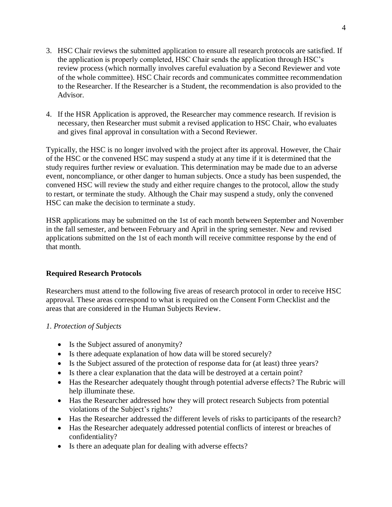- 3. HSC Chair reviews the submitted application to ensure all research protocols are satisfied. If the application is properly completed, HSC Chair sends the application through HSC's review process (which normally involves careful evaluation by a Second Reviewer and vote of the whole committee). HSC Chair records and communicates committee recommendation to the Researcher. If the Researcher is a Student, the recommendation is also provided to the Advisor.
- 4. If the HSR Application is approved, the Researcher may commence research. If revision is necessary, then Researcher must submit a revised application to HSC Chair, who evaluates and gives final approval in consultation with a Second Reviewer.

Typically, the HSC is no longer involved with the project after its approval. However, the Chair of the HSC or the convened HSC may suspend a study at any time if it is determined that the study requires further review or evaluation. This determination may be made due to an adverse event, noncompliance, or other danger to human subjects. Once a study has been suspended, the convened HSC will review the study and either require changes to the protocol, allow the study to restart, or terminate the study. Although the Chair may suspend a study, only the convened HSC can make the decision to terminate a study.

HSR applications may be submitted on the 1st of each month between September and November in the fall semester, and between February and April in the spring semester. New and revised applications submitted on the 1st of each month will receive committee response by the end of that month.

# **Required Research Protocols**

Researchers must attend to the following five areas of research protocol in order to receive HSC approval. These areas correspond to what is required on the Consent Form Checklist and the areas that are considered in the Human Subjects Review.

### *1. Protection of Subjects*

- Is the Subject assured of anonymity?
- Is there adequate explanation of how data will be stored securely?
- Is the Subject assured of the protection of response data for (at least) three years?
- Is there a clear explanation that the data will be destroyed at a certain point?
- Has the Researcher adequately thought through potential adverse effects? The Rubric will help illuminate these.
- Has the Researcher addressed how they will protect research Subjects from potential violations of the Subject's rights?
- Has the Researcher addressed the different levels of risks to participants of the research?
- Has the Researcher adequately addressed potential conflicts of interest or breaches of confidentiality?
- Is there an adequate plan for dealing with adverse effects?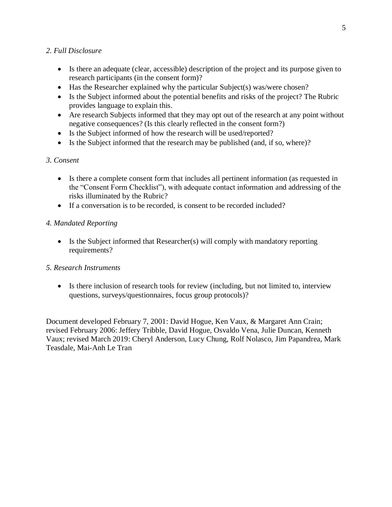# *2. Full Disclosure*

- Is there an adequate (clear, accessible) description of the project and its purpose given to research participants (in the consent form)?
- Has the Researcher explained why the particular Subject(s) was/were chosen?
- Is the Subject informed about the potential benefits and risks of the project? The Rubric provides language to explain this.
- Are research Subjects informed that they may opt out of the research at any point without negative consequences? (Is this clearly reflected in the consent form?)
- Is the Subject informed of how the research will be used/reported?
- Is the Subject informed that the research may be published (and, if so, where)?

# *3. Consent*

- Is there a complete consent form that includes all pertinent information (as requested in the "Consent Form Checklist"), with adequate contact information and addressing of the risks illuminated by the Rubric?
- If a conversation is to be recorded, is consent to be recorded included?

# *4. Mandated Reporting*

• Is the Subject informed that Researcher(s) will comply with mandatory reporting requirements?

# *5. Research Instruments*

• Is there inclusion of research tools for review (including, but not limited to, interview questions, surveys/questionnaires, focus group protocols)?

Document developed February 7, 2001: David Hogue, Ken Vaux, & Margaret Ann Crain; revised February 2006: Jeffery Tribble, David Hogue, Osvaldo Vena, Julie Duncan, Kenneth Vaux; revised March 2019: Cheryl Anderson, Lucy Chung, Rolf Nolasco, Jim Papandrea, Mark Teasdale, Mai-Anh Le Tran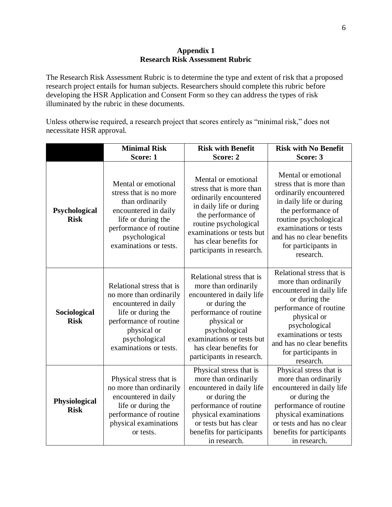### **Appendix 1 Research Risk Assessment Rubric**

The Research Risk Assessment Rubric is to determine the type and extent of risk that a proposed research project entails for human subjects. Researchers should complete this rubric before developing the HSR Application and Consent Form so they can address the types of risk illuminated by the rubric in these documents.

Unless otherwise required, a research project that scores entirely as "minimal risk," does not necessitate HSR approval.

|                              | <b>Minimal Risk</b><br>Score: 1                                                                                                                                                        | <b>Risk with Benefit</b><br>Score: 2                                                                                                                                                                                                          | <b>Risk with No Benefit</b><br>Score: 3                                                                                                                                                                                                             |
|------------------------------|----------------------------------------------------------------------------------------------------------------------------------------------------------------------------------------|-----------------------------------------------------------------------------------------------------------------------------------------------------------------------------------------------------------------------------------------------|-----------------------------------------------------------------------------------------------------------------------------------------------------------------------------------------------------------------------------------------------------|
| Psychological<br><b>Risk</b> | Mental or emotional<br>stress that is no more<br>than ordinarily<br>encountered in daily<br>life or during the<br>performance of routine<br>psychological<br>examinations or tests.    | Mental or emotional<br>stress that is more than<br>ordinarily encountered<br>in daily life or during<br>the performance of<br>routine psychological<br>examinations or tests but<br>has clear benefits for<br>participants in research.       | Mental or emotional<br>stress that is more than<br>ordinarily encountered<br>in daily life or during<br>the performance of<br>routine psychological<br>examinations or tests<br>and has no clear benefits<br>for participants in<br>research.       |
| Sociological<br><b>Risk</b>  | Relational stress that is<br>no more than ordinarily<br>encountered in daily<br>life or during the<br>performance of routine<br>physical or<br>psychological<br>examinations or tests. | Relational stress that is<br>more than ordinarily<br>encountered in daily life<br>or during the<br>performance of routine<br>physical or<br>psychological<br>examinations or tests but<br>has clear benefits for<br>participants in research. | Relational stress that is<br>more than ordinarily<br>encountered in daily life<br>or during the<br>performance of routine<br>physical or<br>psychological<br>examinations or tests<br>and has no clear benefits<br>for participants in<br>research. |
| Physiological<br><b>Risk</b> | Physical stress that is<br>no more than ordinarily<br>encountered in daily<br>life or during the<br>performance of routine<br>physical examinations<br>or tests.                       | Physical stress that is<br>more than ordinarily<br>encountered in daily life<br>or during the<br>performance of routine<br>physical examinations<br>or tests but has clear<br>benefits for participants<br>in research.                       | Physical stress that is<br>more than ordinarily<br>encountered in daily life<br>or during the<br>performance of routine<br>physical examinations<br>or tests and has no clear<br>benefits for participants<br>in research.                          |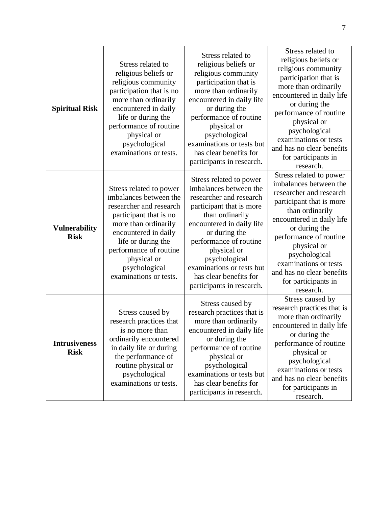| <b>Spiritual Risk</b>               | Stress related to<br>religious beliefs or<br>religious community<br>participation that is no<br>more than ordinarily<br>encountered in daily<br>life or during the<br>performance of routine<br>physical or<br>psychological<br>examinations or tests.           | Stress related to<br>religious beliefs or<br>religious community<br>participation that is<br>more than ordinarily<br>encountered in daily life<br>or during the<br>performance of routine<br>physical or<br>psychological<br>examinations or tests but<br>has clear benefits for<br>participants in research.           | Stress related to<br>religious beliefs or<br>religious community<br>participation that is<br>more than ordinarily<br>encountered in daily life<br>or during the<br>performance of routine<br>physical or<br>psychological<br>examinations or tests<br>and has no clear benefits<br>for participants in<br>research.           |
|-------------------------------------|------------------------------------------------------------------------------------------------------------------------------------------------------------------------------------------------------------------------------------------------------------------|-------------------------------------------------------------------------------------------------------------------------------------------------------------------------------------------------------------------------------------------------------------------------------------------------------------------------|-------------------------------------------------------------------------------------------------------------------------------------------------------------------------------------------------------------------------------------------------------------------------------------------------------------------------------|
| <b>Vulnerability</b><br><b>Risk</b> | Stress related to power<br>imbalances between the<br>researcher and research<br>participant that is no<br>more than ordinarily<br>encountered in daily<br>life or during the<br>performance of routine<br>physical or<br>psychological<br>examinations or tests. | Stress related to power<br>imbalances between the<br>researcher and research<br>participant that is more<br>than ordinarily<br>encountered in daily life<br>or during the<br>performance of routine<br>physical or<br>psychological<br>examinations or tests but<br>has clear benefits for<br>participants in research. | Stress related to power<br>imbalances between the<br>researcher and research<br>participant that is more<br>than ordinarily<br>encountered in daily life<br>or during the<br>performance of routine<br>physical or<br>psychological<br>examinations or tests<br>and has no clear benefits<br>for participants in<br>research. |
| <b>Intrusiveness</b><br><b>Risk</b> | Stress caused by<br>research practices that<br>is no more than<br>ordinarily encountered<br>in daily life or during<br>the performance of<br>routine physical or<br>psychological<br>examinations or tests.                                                      | Stress caused by<br>research practices that is<br>more than ordinarily<br>encountered in daily life<br>or during the<br>performance of routine<br>physical or<br>psychological<br>examinations or tests but<br>has clear benefits for<br>participants in research.                                                      | Stress caused by<br>research practices that is<br>more than ordinarily<br>encountered in daily life<br>or during the<br>performance of routine<br>physical or<br>psychological<br>examinations or tests<br>and has no clear benefits<br>for participants in<br>research.                                                      |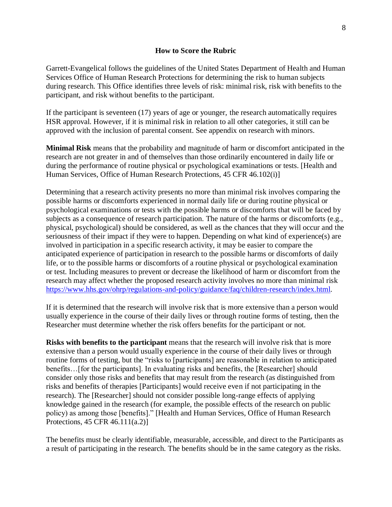#### **How to Score the Rubric**

Garrett-Evangelical follows the guidelines of the United States Department of Health and Human Services Office of Human Research Protections for determining the risk to human subjects during research. This Office identifies three levels of risk: minimal risk, risk with benefits to the participant, and risk without benefits to the participant.

If the participant is seventeen (17) years of age or younger, the research automatically requires HSR approval. However, if it is minimal risk in relation to all other categories, it still can be approved with the inclusion of parental consent. See appendix on research with minors.

**Minimal Risk** means that the probability and magnitude of harm or discomfort anticipated in the research are not greater in and of themselves than those ordinarily encountered in daily life or during the performance of routine physical or psychological examinations or tests. [Health and Human Services, Office of Human Research Protections, 45 CFR 46.102(i)]

Determining that a research activity presents no more than minimal risk involves comparing the possible harms or discomforts experienced in normal daily life or during routine physical or psychological examinations or tests with the possible harms or discomforts that will be faced by subjects as a consequence of research participation. The nature of the harms or discomforts (e.g., physical, psychological) should be considered, as well as the chances that they will occur and the seriousness of their impact if they were to happen. Depending on what kind of experience(s) are involved in participation in a specific research activity, it may be easier to compare the anticipated experience of participation in research to the possible harms or discomforts of daily life, or to the possible harms or discomforts of a routine physical or psychological examination or test. Including measures to prevent or decrease the likelihood of harm or discomfort from the research may affect whether the proposed research activity involves no more than minimal risk [https://www.hhs.gov/ohrp/regulations-and-policy/guidance/faq/children-research/index.html.](https://www.hhs.gov/ohrp/regulations-and-policy/guidance/faq/children-research/index.html)

If it is determined that the research will involve risk that is more extensive than a person would usually experience in the course of their daily lives or through routine forms of testing, then the Researcher must determine whether the risk offers benefits for the participant or not.

**Risks with benefits to the participant** means that the research will involve risk that is more extensive than a person would usually experience in the course of their daily lives or through routine forms of testing, but the "risks to [participants] are reasonable in relation to anticipated benefits... [for the participants]. In evaluating risks and benefits, the [Researcher] should consider only those risks and benefits that may result from the research (as distinguished from risks and benefits of therapies [Participants] would receive even if not participating in the research). The [Researcher] should not consider possible long-range effects of applying knowledge gained in the research (for example, the possible effects of the research on public policy) as among those [benefits]." [Health and Human Services, Office of Human Research Protections, 45 CFR 46.111(a.2)]

The benefits must be clearly identifiable, measurable, accessible, and direct to the Participants as a result of participating in the research. The benefits should be in the same category as the risks.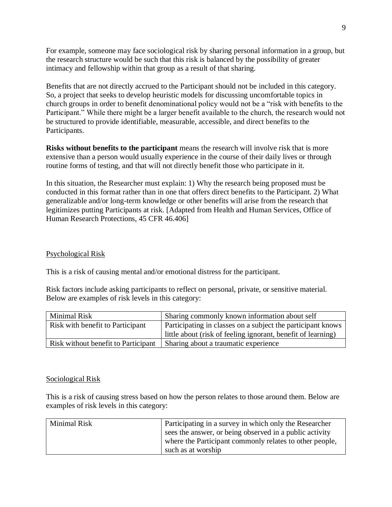For example, someone may face sociological risk by sharing personal information in a group, but the research structure would be such that this risk is balanced by the possibility of greater intimacy and fellowship within that group as a result of that sharing.

Benefits that are not directly accrued to the Participant should not be included in this category. So, a project that seeks to develop heuristic models for discussing uncomfortable topics in church groups in order to benefit denominational policy would not be a "risk with benefits to the Participant." While there might be a larger benefit available to the church, the research would not be structured to provide identifiable, measurable, accessible, and direct benefits to the Participants.

**Risks without benefits to the participant** means the research will involve risk that is more extensive than a person would usually experience in the course of their daily lives or through routine forms of testing, and that will not directly benefit those who participate in it.

In this situation, the Researcher must explain: 1) Why the research being proposed must be conducted in this format rather than in one that offers direct benefits to the Participant. 2) What generalizable and/or long-term knowledge or other benefits will arise from the research that legitimizes putting Participants at risk. [Adapted from Health and Human Services, Office of Human Research Protections, 45 CFR 46.406]

### Psychological Risk

This is a risk of causing mental and/or emotional distress for the participant.

Risk factors include asking participants to reflect on personal, private, or sensitive material. Below are examples of risk levels in this category:

| Minimal Risk                        | Sharing commonly known information about self                |
|-------------------------------------|--------------------------------------------------------------|
| Risk with benefit to Participant    | Participating in classes on a subject the participant knows  |
|                                     | little about (risk of feeling ignorant, benefit of learning) |
| Risk without benefit to Participant | Sharing about a traumatic experience                         |

### Sociological Risk

This is a risk of causing stress based on how the person relates to those around them. Below are examples of risk levels in this category:

| <b>Minimal Risk</b> | Participating in a survey in which only the Researcher  |
|---------------------|---------------------------------------------------------|
|                     | sees the answer, or being observed in a public activity |
|                     | where the Participant commonly relates to other people, |
|                     | such as at worship                                      |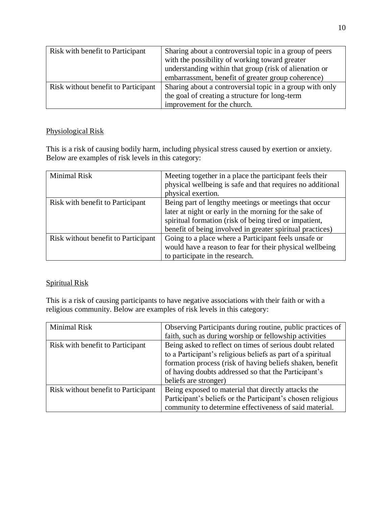| Risk with benefit to Participant    | Sharing about a controversial topic in a group of peers  |
|-------------------------------------|----------------------------------------------------------|
|                                     | with the possibility of working toward greater           |
|                                     | understanding within that group (risk of alienation or   |
|                                     | embarrassment, benefit of greater group coherence)       |
| Risk without benefit to Participant | Sharing about a controversial topic in a group with only |
|                                     | the goal of creating a structure for long-term           |
|                                     | improvement for the church.                              |

# Physiological Risk

This is a risk of causing bodily harm, including physical stress caused by exertion or anxiety. Below are examples of risk levels in this category:

| <b>Minimal Risk</b>                 | Meeting together in a place the participant feels their<br>physical wellbeing is safe and that requires no additional<br>physical exertion.                                                                                            |
|-------------------------------------|----------------------------------------------------------------------------------------------------------------------------------------------------------------------------------------------------------------------------------------|
| Risk with benefit to Participant    | Being part of lengthy meetings or meetings that occur<br>later at night or early in the morning for the sake of<br>spiritual formation (risk of being tired or impatient,<br>benefit of being involved in greater spiritual practices) |
| Risk without benefit to Participant | Going to a place where a Participant feels unsafe or<br>would have a reason to fear for their physical wellbeing<br>to participate in the research.                                                                                    |

# Spiritual Risk

This is a risk of causing participants to have negative associations with their faith or with a religious community. Below are examples of risk levels in this category:

| Minimal Risk                        | Observing Participants during routine, public practices of  |
|-------------------------------------|-------------------------------------------------------------|
|                                     | faith, such as during worship or fellowship activities      |
| Risk with benefit to Participant    | Being asked to reflect on times of serious doubt related    |
|                                     | to a Participant's religious beliefs as part of a spiritual |
|                                     | formation process (risk of having beliefs shaken, benefit   |
|                                     | of having doubts addressed so that the Participant's        |
|                                     | beliefs are stronger)                                       |
| Risk without benefit to Participant | Being exposed to material that directly attacks the         |
|                                     | Participant's beliefs or the Participant's chosen religious |
|                                     | community to determine effectiveness of said material.      |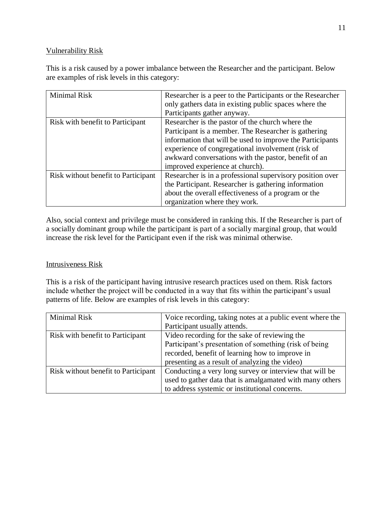## Vulnerability Risk

This is a risk caused by a power imbalance between the Researcher and the participant. Below are examples of risk levels in this category:

| Minimal Risk                        | Researcher is a peer to the Participants or the Researcher |
|-------------------------------------|------------------------------------------------------------|
|                                     | only gathers data in existing public spaces where the      |
|                                     | Participants gather anyway.                                |
| Risk with benefit to Participant    | Researcher is the pastor of the church where the           |
|                                     | Participant is a member. The Researcher is gathering       |
|                                     | information that will be used to improve the Participants  |
|                                     | experience of congregational involvement (risk of          |
|                                     | awkward conversations with the pastor, benefit of an       |
|                                     | improved experience at church).                            |
| Risk without benefit to Participant | Researcher is in a professional supervisory position over  |
|                                     | the Participant. Researcher is gathering information       |
|                                     | about the overall effectiveness of a program or the        |
|                                     | organization where they work.                              |

Also, social context and privilege must be considered in ranking this. If the Researcher is part of a socially dominant group while the participant is part of a socially marginal group, that would increase the risk level for the Participant even if the risk was minimal otherwise.

# Intrusiveness Risk

This is a risk of the participant having intrusive research practices used on them. Risk factors include whether the project will be conducted in a way that fits within the participant's usual patterns of life. Below are examples of risk levels in this category:

| <b>Minimal Risk</b>                 | Voice recording, taking notes at a public event where the |
|-------------------------------------|-----------------------------------------------------------|
|                                     | Participant usually attends.                              |
| Risk with benefit to Participant    | Video recording for the sake of reviewing the             |
|                                     | Participant's presentation of something (risk of being    |
|                                     | recorded, benefit of learning how to improve in           |
|                                     | presenting as a result of analyzing the video)            |
| Risk without benefit to Participant | Conducting a very long survey or interview that will be   |
|                                     | used to gather data that is amalgamated with many others  |
|                                     | to address systemic or institutional concerns.            |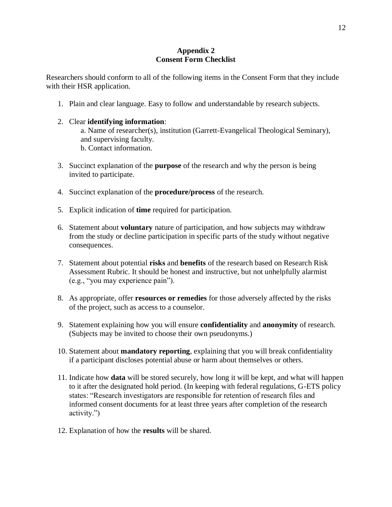## **Appendix 2 Consent Form Checklist**

Researchers should conform to all of the following items in the Consent Form that they include with their HSR application.

1. Plain and clear language. Easy to follow and understandable by research subjects.

## 2. Clear **identifying information**:

a. Name of researcher(s), institution (Garrett-Evangelical Theological Seminary), and supervising faculty. b. Contact information.

- 3. Succinct explanation of the **purpose** of the research and why the person is being invited to participate.
- 4. Succinct explanation of the **procedure/process** of the research.
- 5. Explicit indication of **time** required for participation.
- 6. Statement about **voluntary** nature of participation, and how subjects may withdraw from the study or decline participation in specific parts of the study without negative consequences.
- 7. Statement about potential **risks** and **benefits** of the research based on Research Risk Assessment Rubric. It should be honest and instructive, but not unhelpfully alarmist (e.g., "you may experience pain").
- 8. As appropriate, offer **resources or remedies** for those adversely affected by the risks of the project, such as access to a counselor.
- 9. Statement explaining how you will ensure **confidentiality** and **anonymity** of research. (Subjects may be invited to choose their own pseudonyms.)
- 10. Statement about **mandatory reporting**, explaining that you will break confidentiality if a participant discloses potential abuse or harm about themselves or others.
- 11. Indicate how **data** will be stored securely, how long it will be kept, and what will happen to it after the designated hold period. (In keeping with federal regulations, G-ETS policy states: "Research investigators are responsible for retention of research files and informed consent documents for at least three years after completion of the research activity.")
- 12. Explanation of how the **results** will be shared.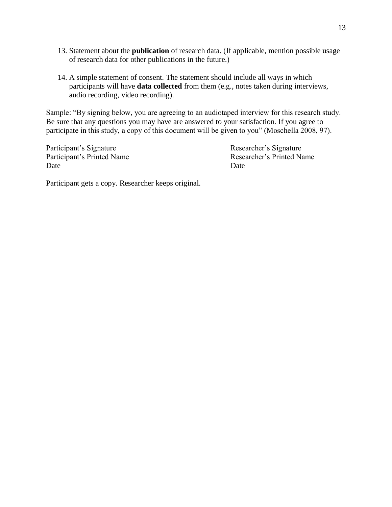- 13. Statement about the **publication** of research data. (If applicable, mention possible usage of research data for other publications in the future.)
- 14. A simple statement of consent. The statement should include all ways in which participants will have **data collected** from them (e.g., notes taken during interviews, audio recording, video recording).

Sample: "By signing below, you are agreeing to an audiotaped interview for this research study. Be sure that any questions you may have are answered to your satisfaction. If you agree to participate in this study, a copy of this document will be given to you" (Moschella 2008, 97).

Participant's Signature Researcher's Signature Date Date Date

Participant's Printed Name<br>
Researcher's Printed Name

Participant gets a copy. Researcher keeps original.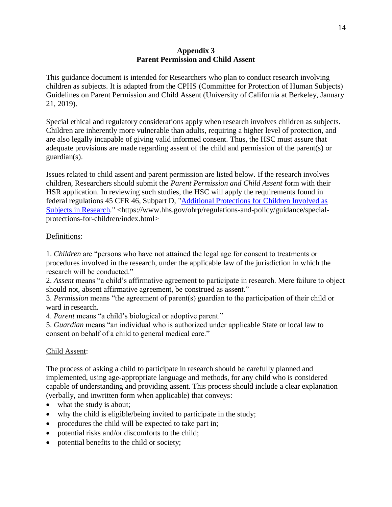### **Appendix 3 Parent Permission and Child Assent**

This guidance document is intended for Researchers who plan to conduct research involving children as subjects. It is adapted from the CPHS (Committee for Protection of Human Subjects) Guidelines on Parent Permission and Child Assent (University of California at Berkeley, January 21, 2019).

Special ethical and regulatory considerations apply when research involves children as subjects. Children are inherently more vulnerable than adults, requiring a higher level of protection, and are also legally incapable of giving valid informed consent. Thus, the HSC must assure that adequate provisions are made regarding assent of the child and permission of the parent(s) or guardian(s).

Issues related to child assent and parent permission are listed below. If the research involves children, Researchers should submit the *Parent Permission and Child Assent* form with their HSR application. In reviewing such studies, the HSC will apply the requirements found in federal regulations 45 CFR 46, Subpart D, ["Additional Protections for Children Involved as](https://www.hhs.gov/ohrp/regulations-and-policy/guidance/special-protections-for-children/index.html)  [Subjects in Research.](https://www.hhs.gov/ohrp/regulations-and-policy/guidance/special-protections-for-children/index.html)" <https://www.hhs.gov/ohrp/regulations-and-policy/guidance/specialprotections-for-children/index.html>

## Definitions:

1. *Children* are "persons who have not attained the legal age for consent to treatments or procedures involved in the research, under the applicable law of the jurisdiction in which the research will be conducted."

2. *Assent* means "a child's affirmative agreement to participate in research. Mere failure to object should not, absent affirmative agreement, be construed as assent."

3. *Permission* means "the agreement of parent(s) guardian to the participation of their child or ward in research.

4. *Parent* means "a child's biological or adoptive parent."

5. *Guardian* means "an individual who is authorized under applicable State or local law to consent on behalf of a child to general medical care."

### Child Assent:

The process of asking a child to participate in research should be carefully planned and implemented, using age-appropriate language and methods, for any child who is considered capable of understanding and providing assent. This process should include a clear explanation (verbally, and inwritten form when applicable) that conveys:

- what the study is about;
- why the child is eligible/being invited to participate in the study;
- procedures the child will be expected to take part in;
- potential risks and/or discomforts to the child;
- potential benefits to the child or society;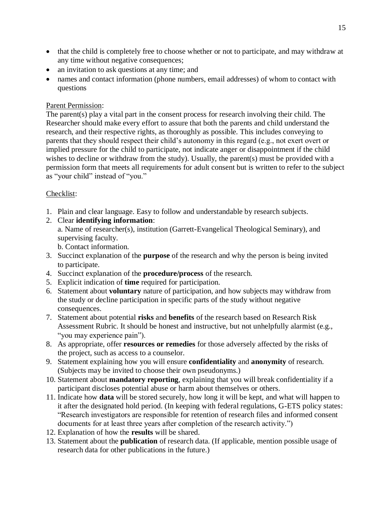- that the child is completely free to choose whether or not to participate, and may withdraw at any time without negative consequences;
- an invitation to ask questions at any time; and
- names and contact information (phone numbers, email addresses) of whom to contact with questions

## Parent Permission:

The parent(s) play a vital part in the consent process for research involving their child. The Researcher should make every effort to assure that both the parents and child understand the research, and their respective rights, as thoroughly as possible. This includes conveying to parents that they should respect their child's autonomy in this regard (e.g., not exert overt or implied pressure for the child to participate, not indicate anger or disappointment if the child wishes to decline or withdraw from the study). Usually, the parent(s) must be provided with a permission form that meets all requirements for adult consent but is written to refer to the subject as "your child" instead of "you."

# Checklist:

- 1. Plain and clear language. Easy to follow and understandable by research subjects.
- 2. Clear **identifying information**: a. Name of researcher(s), institution (Garrett-Evangelical Theological Seminary), and supervising faculty. b. Contact information.
	-
- 3. Succinct explanation of the **purpose** of the research and why the person is being invited to participate.
- 4. Succinct explanation of the **procedure/process** of the research.
- 5. Explicit indication of **time** required for participation.
- 6. Statement about **voluntary** nature of participation, and how subjects may withdraw from the study or decline participation in specific parts of the study without negative consequences.
- 7. Statement about potential **risks** and **benefits** of the research based on Research Risk Assessment Rubric. It should be honest and instructive, but not unhelpfully alarmist (e.g., "you may experience pain").
- 8. As appropriate, offer **resources or remedies** for those adversely affected by the risks of the project, such as access to a counselor.
- 9. Statement explaining how you will ensure **confidentiality** and **anonymity** of research. (Subjects may be invited to choose their own pseudonyms.)
- 10. Statement about **mandatory reporting**, explaining that you will break confidentiality if a participant discloses potential abuse or harm about themselves or others.
- 11. Indicate how **data** will be stored securely, how long it will be kept, and what will happen to it after the designated hold period. (In keeping with federal regulations, G-ETS policy states: "Research investigators are responsible for retention of research files and informed consent documents for at least three years after completion of the research activity.")
- 12. Explanation of how the **results** will be shared.
- 13. Statement about the **publication** of research data. (If applicable, mention possible usage of research data for other publications in the future.)